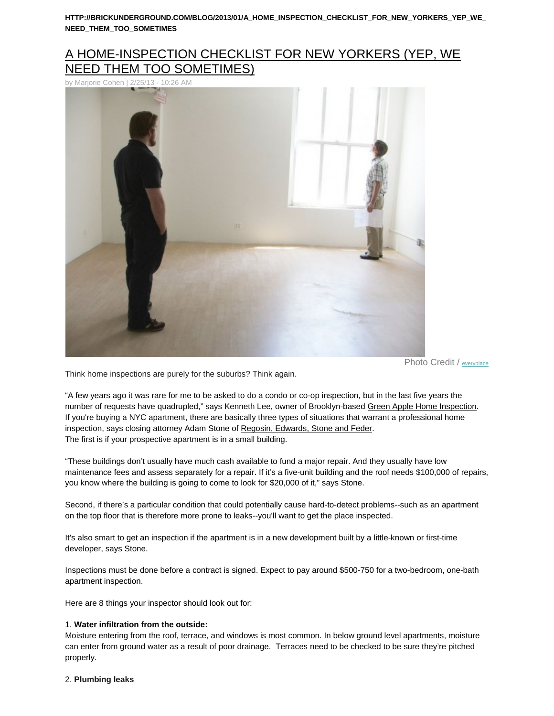# [A HOME-INSPECTION CHECKLIST FOR NEW YORKERS \(YEP, WE](http://brickunderground.com/blog/2013/01/a_home_inspection_checklist_for_new_yorkers_yep_we_need_them_too_sometimes)  [NEED THEM TOO SOMETIMES\)](http://brickunderground.com/blog/2013/01/a_home_inspection_checklist_for_new_yorkers_yep_we_need_them_too_sometimes)

[by Marjorie Cohen | 2/25/13 -](http://brickunderground.com/sites/default/files/37407260_6242b2eabe_b.jpg) 10:26 AM



Photo Credit / [everyplace](http://www.flickr.com/photos/everyplace/)

Think home inspections are purely for the suburbs? Think again.

"A few years ago it was rare for me to be asked to do a condo or co-op inspection, but in the last five years the number of requests have quadrupled," says Kenneth Lee, owner of Brooklyn-based [Green Apple Home Inspection.](http://www.greenapplehomeinspections.com/) If you're buying a NYC apartment, there are basically three types of situations that warrant a professional home inspection, says closing attorney Adam Stone of [Regosin, Edwards, Stone and Feder.](http://www.resflaw.com/) The first is if your prospective apartment is in a small building.

"These buildings don't usually have much cash available to fund a major repair. And they usually have low maintenance fees and assess separately for a repair. If it's a five-unit building and the roof needs \$100,000 of repairs, you know where the building is going to come to look for \$20,000 of it," says Stone.

Second, if there's a particular condition that could potentially cause hard-to-detect problems--such as an apartment on the top floor that is therefore more prone to leaks--you'll want to get the place inspected.

It's also smart to get an inspection if the apartment is in a new development built by a little-known or first-time developer, says Stone.

Inspections must be done before a contract is signed. Expect to pay around \$500-750 for a two-bedroom, one-bath apartment inspection.

Here are 8 things your inspector should look out for:

# 1. **Water infiltration from the outside:**

Moisture entering from the roof, terrace, and windows is most common. In below ground level apartments, moisture can enter from ground water as a result of poor drainage. Terraces need to be checked to be sure they're pitched properly.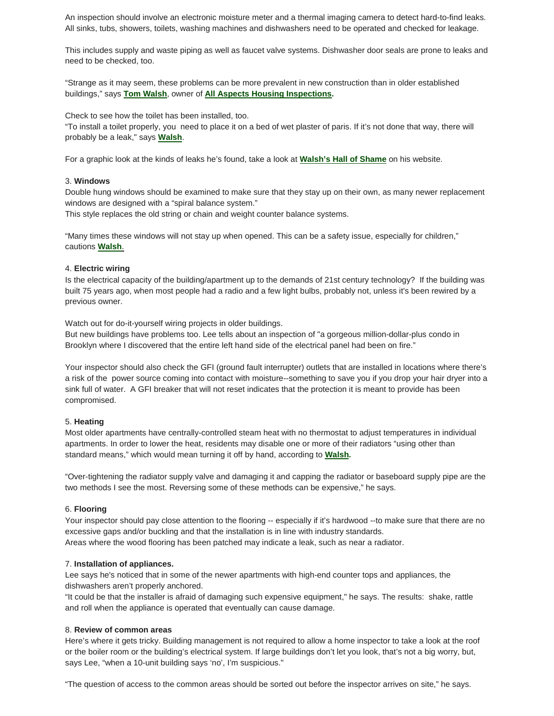An inspection should involve an electronic moisture meter and a thermal imaging camera to detect hard-to-find leaks. All sinks, tubs, showers, toilets, washing machines and dishwashers need to be operated and checked for leakage.

This includes supply and waste piping as well as faucet valve systems. Dishwasher door seals are prone to leaks and need to be checked, too.

"Strange as it may seem, these problems can be more prevalent in new construction than in older established buildings," says **Tom Walsh**, owner of **[All Aspects Housing Inspections.](http://www.allaspectsinspections.com/)**

Check to see how the toilet has been installed, too.

"To install a toilet properly, you need to place it on a bed of wet plaster of paris. If it's not done that way, there will probably be a leak," says **Walsh**.

For a graphic look at the kinds of leaks he's found, take a look at **Walsh's [Hall of Shame](http://www.allaspectsinspections.com/hall-of-shame.php)** on his website.

# 3. **Windows**

Double hung windows should be examined to make sure that they stay up on their own, as many newer replacement windows are designed with a "spiral balance system."

This style replaces the old string or chain and weight counter balance systems.

"Many times these windows will not stay up when opened. This can be a safety issue, especially for children," cautions **Walsh**.

# 4. **Electric wiring**

Is the electrical capacity of the building/apartment up to the demands of 21st century technology? If the building was built 75 years ago, when most people had a radio and a few light bulbs, probably not, unless it's been rewired by a previous owner.

Watch out for do-it-yourself wiring projects in older buildings.

But new buildings have problems too. Lee tells about an inspection of "a gorgeous million-dollar-plus condo in Brooklyn where I discovered that the entire left hand side of the electrical panel had been on fire."

Your inspector should also check the GFI (ground fault interrupter) outlets that are installed in locations where there's a risk of the power source coming into contact with moisture--something to save you if you drop your hair dryer into a sink full of water. A GFI breaker that will not reset indicates that the protection it is meant to provide has been compromised.

#### 5. **Heating**

Most older apartments have centrally-controlled steam heat with no thermostat to adjust temperatures in individual apartments. In order to lower the heat, residents may disable one or more of their radiators "using other than standard means," which would mean turning it off by hand, according to **Walsh.**

"Over-tightening the radiator supply valve and damaging it and capping the radiator or baseboard supply pipe are the two methods I see the most. Reversing some of these methods can be expensive," he says.

#### 6. **Flooring**

Your inspector should pay close attention to the flooring -- especially if it's hardwood --to make sure that there are no excessive gaps and/or buckling and that the installation is in line with industry standards. Areas where the wood flooring has been patched may indicate a leak, such as near a radiator.

### 7. **Installation of appliances.**

Lee says he's noticed that in some of the newer apartments with high-end counter tops and appliances, the dishwashers aren't properly anchored.

"It could be that the installer is afraid of damaging such expensive equipment," he says. The results: shake, rattle and roll when the appliance is operated that eventually can cause damage.

#### 8. **Review of common areas**

Here's where it gets tricky. Building management is not required to allow a home inspector to take a look at the roof or the boiler room or the building's electrical system. If large buildings don't let you look, that's not a big worry, but, says Lee, "when a 10-unit building says 'no', I'm suspicious."

"The question of access to the common areas should be sorted out before the inspector arrives on site," he says.